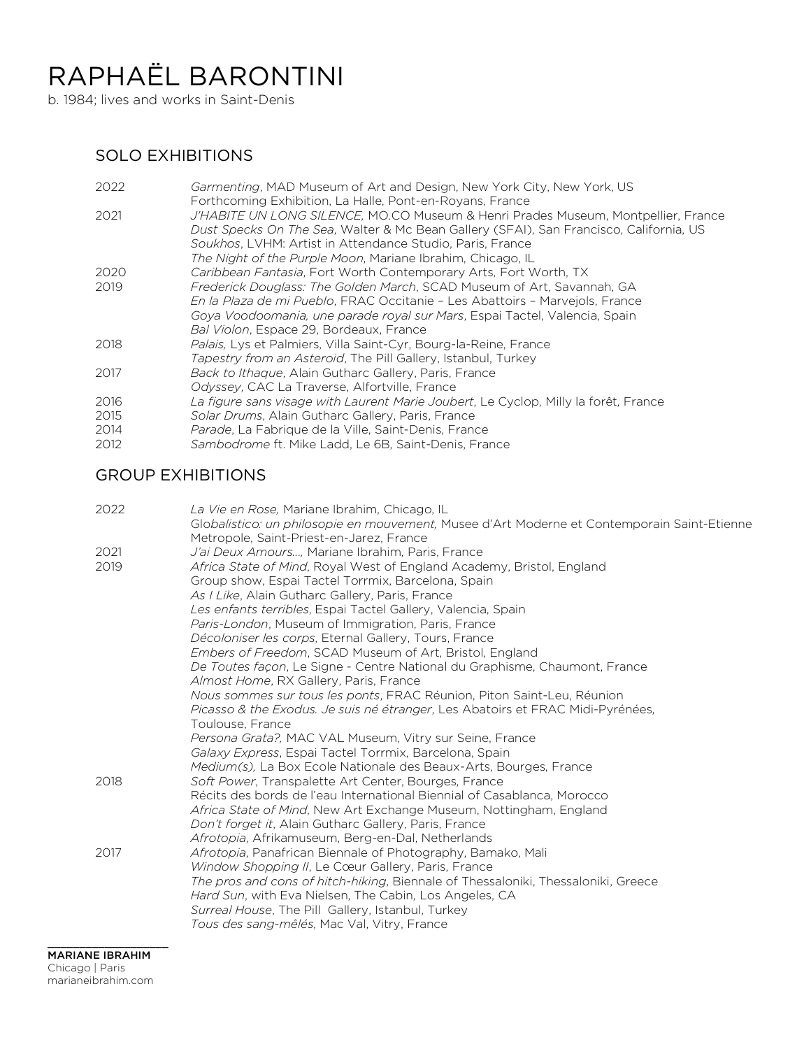# RAPHAËL BARONTINI

b. 1984; lives and works in Saint-Denis

## SOLO EXHIBITIONS

| 2022 | Garmenting, MAD Museum of Art and Design, New York City, New York, US<br>Forthcoming Exhibition, La Halle, Pont-en-Royans, France |
|------|-----------------------------------------------------------------------------------------------------------------------------------|
| 2021 | J'HABITE UN LONG SILENCE, MO.CO Museum & Henri Prades Museum, Montpellier, France                                                 |
|      | Dust Specks On The Sea, Walter & Mc Bean Gallery (SFAI), San Francisco, California, US                                            |
|      | Soukhos, LVHM: Artist in Attendance Studio, Paris, France                                                                         |
|      | The Night of the Purple Moon, Mariane Ibrahim, Chicago, IL                                                                        |
| 2020 | Caribbean Fantasia, Fort Worth Contemporary Arts, Fort Worth, TX                                                                  |
| 2019 | Frederick Douglass: The Golden March, SCAD Museum of Art, Savannah, GA                                                            |
|      | En la Plaza de mi Pueblo, FRAC Occitanie - Les Abattoirs - Marvejols, France                                                      |
|      | Goya Voodoomania, une parade royal sur Mars, Espai Tactel, Valencia, Spain                                                        |
|      | Bal Violon, Espace 29, Bordeaux, France                                                                                           |
| 2018 | Palais, Lys et Palmiers, Villa Saint-Cyr, Bourg-la-Reine, France                                                                  |
|      | Tapestry from an Asteroid, The Pill Gallery, Istanbul, Turkey                                                                     |
| 2017 | Back to Ithaque, Alain Gutharc Gallery, Paris, France                                                                             |
|      | Odyssey, CAC La Traverse, Alfortville, France                                                                                     |
| 2016 | La figure sans visage with Laurent Marie Joubert, Le Cyclop, Milly la forêt, France                                               |
| 2015 | Solar Drums, Alain Gutharc Gallery, Paris, France                                                                                 |
| 2014 | Parade, La Fabrique de la Ville, Saint-Denis, France                                                                              |
| 2012 | Sambodrome ft. Mike Ladd, Le 6B, Saint-Denis, France                                                                              |
|      |                                                                                                                                   |

### GROUP EXHIBITIONS

| 2022 | La Vie en Rose, Mariane Ibrahim, Chicago, IL<br>Globalistico: un philosopie en mouvement, Musee d'Art Moderne et Contemporain Saint-Etienne |
|------|---------------------------------------------------------------------------------------------------------------------------------------------|
|      | Metropole, Saint-Priest-en-Jarez, France                                                                                                    |
| 2021 | J'ai Deux Amours, Mariane Ibrahim, Paris, France                                                                                            |
| 2019 | <i>Africa State of Mind</i> , Royal West of England Academy, Bristol, England<br>Group show, Espai Tactel Torrmix, Barcelona, Spain         |
|      | As I Like, Alain Gutharc Gallery, Paris, France                                                                                             |
|      | Les enfants terribles, Espai Tactel Gallery, Valencia, Spain                                                                                |
|      | Paris-London, Museum of Immigration, Paris, France                                                                                          |
|      | Décoloniser les corps, Eternal Gallery, Tours, France                                                                                       |
|      | Embers of Freedom, SCAD Museum of Art, Bristol, England                                                                                     |
|      | De Toutes facon, Le Signe - Centre National du Graphisme, Chaumont, France                                                                  |
|      | Almost Home, RX Gallery, Paris, France                                                                                                      |
|      | Nous sommes sur tous les ponts, FRAC Réunion, Piton Saint-Leu, Réunion                                                                      |
|      | Picasso & the Exodus. Je suis né étranger, Les Abatoirs et FRAC Midi-Pyrénées,                                                              |
|      | Toulouse, France                                                                                                                            |
|      | Persona Grata?, MAC VAL Museum, Vitry sur Seine, France                                                                                     |
|      | Galaxy Express, Espai Tactel Torrmix, Barcelona, Spain                                                                                      |
|      | Medium(s), La Box Ecole Nationale des Beaux-Arts, Bourges, France                                                                           |
| 2018 | Soft Power, Transpalette Art Center, Bourges, France                                                                                        |
|      | Récits des bords de l'eau International Biennial of Casablanca, Morocco                                                                     |
|      | Africa State of Mind, New Art Exchange Museum, Nottingham, England                                                                          |
|      | Don't forget it, Alain Gutharc Gallery, Paris, France                                                                                       |
|      | Afrotopia, Afrikamuseum, Berg-en-Dal, Netherlands                                                                                           |
| 2017 | Afrotopia, Panafrican Biennale of Photography, Bamako, Mali                                                                                 |
|      | Window Shopping II, Le Cœur Gallery, Paris, France                                                                                          |
|      | The pros and cons of hitch-hiking, Biennale of Thessaloniki, Thessaloniki, Greece<br>Hard Sun, with Eva Nielsen, The Cabin, Los Angeles, CA |
|      | Surreal House, The Pill Gallery, Istanbul, Turkey                                                                                           |
|      | Tous des sang-mêlés, Mac Val, Vitry, France                                                                                                 |
|      |                                                                                                                                             |

\_\_\_\_\_\_\_\_\_\_\_\_\_\_\_\_\_\_\_